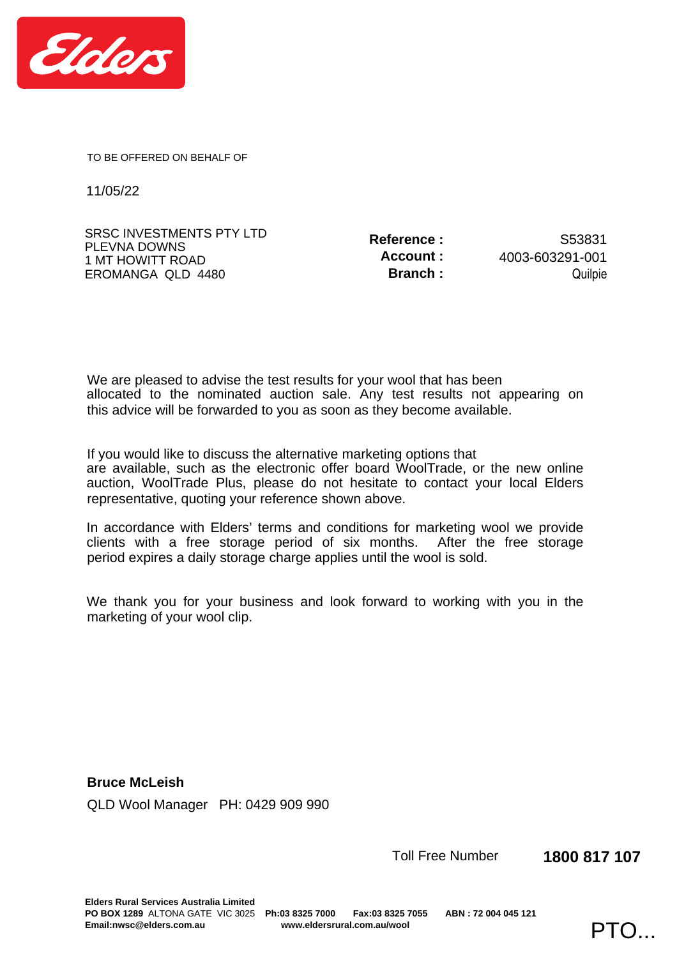

TO BE OFFERED ON BEHALF OF

11/05/22

| <b>SRSC INVESTMENTS PTY LTD</b>  | Reference : | S53831          |
|----------------------------------|-------------|-----------------|
| PLEVNA DOWNS<br>1 MT HOWITT ROAD | Account :   | 4003-603291-001 |
| EROMANGA QLD 4480                | Branch :    | Quilpie         |

We are pleased to advise the test results for your wool that has been this advice will be forwarded to you as soon as they become available. allocated to the nominated auction sale. Any test results not appearing on

If you would like to discuss the alternative marketing options that representative, quoting your reference shown above. are available, such as the electronic offer board WoolTrade, or the new online auction, WoolTrade Plus, please do not hesitate to contact your local Elders

period expires a daily storage charge applies until the wool is sold. In accordance with Elders' terms and conditions for marketing wool we provide clients with a free storage period of six months. After the free storage

marketing of your wool clip. We thank you for your business and look forward to working with you in the

**Bruce McLeish**  QLD Wool Manager PH: 0429 909 990

Toll Free Number **1800 817 107**

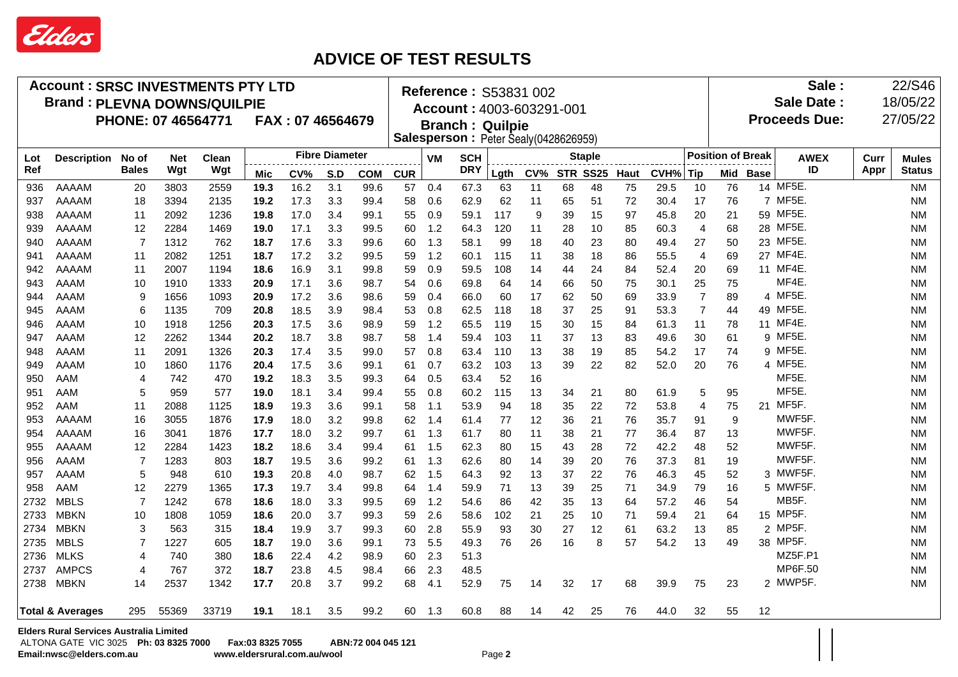

## **ADVICE OF TEST RESULTS**

| <b>Account: SRSC INVESTMENTS PTY LTD</b> |                                                |                        |                    |              |            |                       | Reference: S53831 002 |            |                                                                |                          |      |                               |    |    | Sale: |                          |      |                   | 22/S46               |              |              |  |               |
|------------------------------------------|------------------------------------------------|------------------------|--------------------|--------------|------------|-----------------------|-----------------------|------------|----------------------------------------------------------------|--------------------------|------|-------------------------------|----|----|-------|--------------------------|------|-------------------|----------------------|--------------|--------------|--|---------------|
| <b>Brand: PLEVNA DOWNS/QUILPIE</b>       |                                                |                        |                    |              |            |                       |                       |            |                                                                |                          |      |                               |    |    |       |                          |      |                   | <b>Sale Date:</b>    |              |              |  | 18/05/22      |
|                                          |                                                |                        | PHONE: 07 46564771 |              |            | FAX: 07 46564679      |                       |            | Account: 4003-603291-001                                       |                          |      |                               |    |    |       |                          |      |                   | <b>Proceeds Due:</b> |              |              |  | 27/05/22      |
|                                          |                                                |                        |                    |              |            |                       |                       |            | <b>Branch: Quilpie</b><br>Salesperson: Peter Sealy(0428626959) |                          |      |                               |    |    |       |                          |      |                   |                      |              |              |  |               |
|                                          |                                                |                        |                    |              |            |                       |                       |            |                                                                |                          |      |                               |    |    |       |                          |      |                   |                      |              |              |  |               |
| Lot<br>Ref                               | <b>Description</b>                             | No of<br><b>Bales</b>  | <b>Net</b><br>Wgt  | Clean<br>Wgt |            | <b>Fibre Diameter</b> |                       |            | VM                                                             | <b>SCH</b><br><b>DRY</b> |      | <b>Staple</b><br>CV% STR SS25 |    |    |       | <b>Position of Break</b> |      | <b>AWEX</b><br>ID | Curr<br>Appr         | <b>Mules</b> |              |  |               |
|                                          |                                                |                        |                    |              | <b>Mic</b> | CV%                   | S.D                   | <b>COM</b> | <b>CUR</b>                                                     |                          |      | Lgth                          |    |    |       | <b>Haut</b>              | CVH% | Tip               |                      | Mid Base     |              |  | <b>Status</b> |
| 936                                      | AAAAM                                          | 20                     | 3803               | 2559         | 19.3       | 16.2                  | 3.1                   | 99.6       | 57                                                             | 0.4                      | 67.3 | 63                            | 11 | 68 | 48    | 75                       | 29.5 | 10                | 76                   |              | 14 MF5E.     |  | <b>NM</b>     |
| 937                                      | AAAAM                                          | 18                     | 3394               | 2135         | 19.2       | 17.3                  | 3.3                   | 99.4       | 58                                                             | 0.6                      | 62.9 | 62                            | 11 | 65 | 51    | 72                       | 30.4 | 17                | 76                   |              | 7 MF5E.      |  | <b>NM</b>     |
| 938                                      | AAAAM                                          | 11                     | 2092               | 1236         | 19.8       | 17.0                  | 3.4                   | 99.1       | 55                                                             | 0.9                      | 59.1 | 117                           | 9  | 39 | 15    | 97                       | 45.8 | 20                | 21                   |              | 59 MF5E.     |  | <b>NM</b>     |
| 939                                      | AAAAM                                          | 12                     | 2284               | 1469         | 19.0       | 17.1                  | 3.3                   | 99.5       | 60                                                             | 1.2                      | 64.3 | 120                           | 11 | 28 | 10    | 85                       | 60.3 | 4                 | 68                   |              | 28 MF5E.     |  | <b>NM</b>     |
| 940                                      | AAAAM                                          | $\overline{7}$         | 1312               | 762          | 18.7       | 17.6                  | 3.3                   | 99.6       | 60                                                             | 1.3                      | 58.1 | 99                            | 18 | 40 | 23    | 80                       | 49.4 | 27                | 50                   |              | 23 MF5E      |  | NM            |
| 941                                      | AAAAM                                          | 11                     | 2082               | 1251         | 18.7       | 17.2                  | 3.2                   | 99.5       | 59                                                             | 1.2                      | 60.1 | 115                           | 11 | 38 | 18    | 86                       | 55.5 | 4                 | 69                   |              | 27 MF4E.     |  | <b>NM</b>     |
| 942                                      | AAAAM                                          | 11                     | 2007               | 1194         | 18.6       | 16.9                  | 3.1                   | 99.8       | 59                                                             | 0.9                      | 59.5 | 108                           | 14 | 44 | 24    | 84                       | 52.4 | 20                | 69                   |              | 11 MF4E.     |  | <b>NM</b>     |
| 943                                      | AAAM                                           | 10                     | 1910               | 1333         | 20.9       | 17.1                  | 3.6                   | 98.7       | 54                                                             | 0.6                      | 69.8 | 64                            | 14 | 66 | 50    | 75                       | 30.1 | 25                | 75                   |              | MF4E.        |  | <b>NM</b>     |
| 944                                      | AAAM                                           | 9                      | 1656               | 1093         | 20.9       | 17.2                  | 3.6                   | 98.6       | 59                                                             | 0.4                      | 66.0 | 60                            | 17 | 62 | 50    | 69                       | 33.9 | $\overline{7}$    | 89                   |              | 4 MF5E.      |  | <b>NM</b>     |
| 945                                      | AAAM                                           | 6                      | 1135               | 709          | 20.8       | 18.5                  | 3.9                   | 98.4       | 53                                                             | 0.8                      | 62.5 | 118                           | 18 | 37 | 25    | 91                       | 53.3 | $\overline{7}$    | 44                   |              | 49 MF5E.     |  | <b>NM</b>     |
| 946                                      | AAAM                                           | 10                     | 1918               | 1256         | 20.3       | 17.5                  | 3.6                   | 98.9       | 59                                                             | 1.2                      | 65.5 | 119                           | 15 | 30 | 15    | 84                       | 61.3 | 11                | 78                   |              | 11 MF4E      |  | NM            |
| 947                                      | AAAM                                           | 12                     | 2262               | 1344         | 20.2       | 18.7                  | 3.8                   | 98.7       | 58                                                             | 1.4                      | 59.4 | 103                           | 11 | 37 | 13    | 83                       | 49.6 | 30                | 61                   |              | 9 MF5E.      |  | <b>NM</b>     |
| 948                                      | AAAM                                           | 11                     | 2091               | 1326         | 20.3       | 17.4                  | 3.5                   | 99.0       | 57                                                             | 0.8                      | 63.4 | 110                           | 13 | 38 | 19    | 85                       | 54.2 | 17                | 74                   |              | 9 MF5E.      |  | ΝM            |
| 949                                      | AAAM                                           | 10                     | 1860               | 1176         | 20.4       | 17.5                  | 3.6                   | 99.1       | 61                                                             | 0.7                      | 63.2 | 103                           | 13 | 39 | 22    | 82                       | 52.0 | 20                | 76                   |              | 4 MF5E.      |  | ΝM            |
| 950                                      | AAM                                            | $\overline{4}$         | 742                | 470          | 19.2       | 18.3                  | 3.5                   | 99.3       | 64                                                             | 0.5                      | 63.4 | 52                            | 16 |    |       |                          |      |                   |                      |              | MF5E.        |  | ΝM            |
| 951                                      | AAM                                            | 5                      | 959                | 577          | 19.0       | 18.1                  | 3.4                   | 99.4       | 55                                                             | 0.8                      | 60.2 | 115                           | 13 | 34 | 21    | 80                       | 61.9 | 5                 | 95                   |              | MF5E.        |  | ΝM            |
| 952                                      | AAM                                            | 11                     | 2088               | 1125         | 18.9       | 19.3                  | 3.6                   | 99.1       | 58                                                             | 1.1                      | 53.9 | 94                            | 18 | 35 | 22    | 72                       | 53.8 | 4                 | 75                   | 21           | MF5F         |  | <b>NM</b>     |
| 953                                      | AAAAM                                          | 16                     | 3055               | 1876         | 17.9       | 18.0                  | 3.2                   | 99.8       | 62                                                             | 1.4                      | 61.4 | 77                            | 12 | 36 | 21    | 76                       | 35.7 | 91                | 9                    |              | MWF5F.       |  | NM            |
| 954                                      | AAAAM                                          | 16                     | 3041               | 1876         | 17.7       | 18.0                  | 3.2                   | 99.7       | 61                                                             | 1.3                      | 61.7 | 80                            | 11 | 38 | 21    | 77                       | 36.4 | 87                | 13                   |              | MWF5F        |  | ΝM            |
| 955                                      | AAAAM                                          | 12                     | 2284               | 1423         | 18.2       | 18.6                  | 3.4                   | 99.4       | 61                                                             | 1.5                      | 62.3 | 80                            | 15 | 43 | 28    | 72                       | 42.2 | 48                | 52                   |              | MWF5F.       |  | <b>NM</b>     |
| 956                                      | AAAM                                           | $\overline{7}$         | 1283               | 803          | 18.7       | 19.5                  | 3.6                   | 99.2       | 61                                                             | 1.3                      | 62.6 | 80                            | 14 | 39 | 20    | 76                       | 37.3 | 81                | 19                   |              | MWF5F.       |  | NM.           |
| 957                                      | AAAM                                           | 5                      | 948                | 610          | 19.3       | 20.8                  | 4.0                   | 98.7       | 62                                                             | 1.5                      | 64.3 | 92                            | 13 | 37 | 22    | 76                       | 46.3 | 45                | 52                   |              | 3 MWF5F      |  | ΝM            |
| 958                                      | AAM                                            | 12                     | 2279               | 1365         | 17.3       | 19.7                  | 3.4                   | 99.8       | 64                                                             | 1.4                      | 59.9 | 71                            | 13 | 39 | 25    | 71                       | 34.9 | 79                | 16                   |              | 5 MWF5F.     |  | <b>NM</b>     |
| 2732                                     | <b>MBLS</b>                                    | $\overline{7}$         | 1242               | 678          | 18.6       | 18.0                  | 3.3                   | 99.5       | 69                                                             | 1.2                      | 54.6 | 86                            | 42 | 35 | 13    | 64                       | 57.2 | 46                | 54                   |              | MB5F.        |  | NM            |
| 2733                                     | <b>MBKN</b>                                    | 10                     | 1808               | 1059         | 18.6       | 20.0                  | 3.7                   | 99.3       | 59                                                             | 2.6                      | 58.6 | 102                           | 21 | 25 | 10    | 71                       | 59.4 | 21                | 64                   |              | 15 MP5F.     |  | <b>NM</b>     |
| 2734                                     | <b>MBKN</b>                                    | 3                      | 563                | 315          | 18.4       | 19.9                  | 3.7                   | 99.3       | 60                                                             | 2.8                      | 55.9 | 93                            | 30 | 27 | 12    | 61                       | 63.2 | 13                | 85                   |              | 2 MP5F       |  | ΝM            |
| 2735                                     | <b>MBLS</b>                                    | 7                      | 1227               | 605          | 18.7       | 19.0                  | 3.6                   | 99.1       | 73                                                             | 5.5                      | 49.3 | 76                            | 26 | 16 | 8     | 57                       | 54.2 | 13                | 49                   |              | 38 MP5F.     |  | <b>NM</b>     |
| 2736                                     | <b>MLKS</b>                                    | $\boldsymbol{\Lambda}$ | 740                | 380          | 18.6       | 22.4                  | 4.2                   | 98.9       | 60                                                             | 2.3                      | 51.3 |                               |    |    |       |                          |      |                   |                      |              | MZ5F.P1      |  | ΝM            |
| 2737                                     | <b>AMPCS</b>                                   | $\overline{4}$         | 767                | 372          | 18.7       | 23.8                  | 4.5                   | 98.4       | 66                                                             | 2.3                      | 48.5 |                               |    |    |       |                          |      |                   |                      |              | MP6F.50      |  | <b>NM</b>     |
| 2738                                     | <b>MBKN</b>                                    | 14                     | 2537               | 1342         | 17.7       | 20.8                  | 3.7                   | 99.2       | 68                                                             | 4.1                      | 52.9 | 75                            | 14 | 32 | 17    | 68                       | 39.9 | 75                | 23                   |              | 2 MWP5F      |  | <b>NM</b>     |
|                                          | <b>Total &amp; Averages</b>                    | 295                    | 55369              | 33719        | 19.1       | 18.1                  | 3.5                   | 99.2       | 60                                                             | 1.3                      | 60.8 | 88                            | 14 | 42 | 25    | 76                       | 44.0 | 32                | 55                   | 12           |              |  |               |
|                                          | <b>Elders Rural Services Australia Limited</b> |                        |                    |              |            |                       |                       |            |                                                                |                          |      |                               |    |    |       |                          |      |                   |                      |              | $\mathbf{1}$ |  |               |

 ALTONA GATE VIC 3025 **Ph: 03 8325 7000 Fax:03 8325 7055 ABN:72 004 045 121 www.eldersrural.com.au/wool**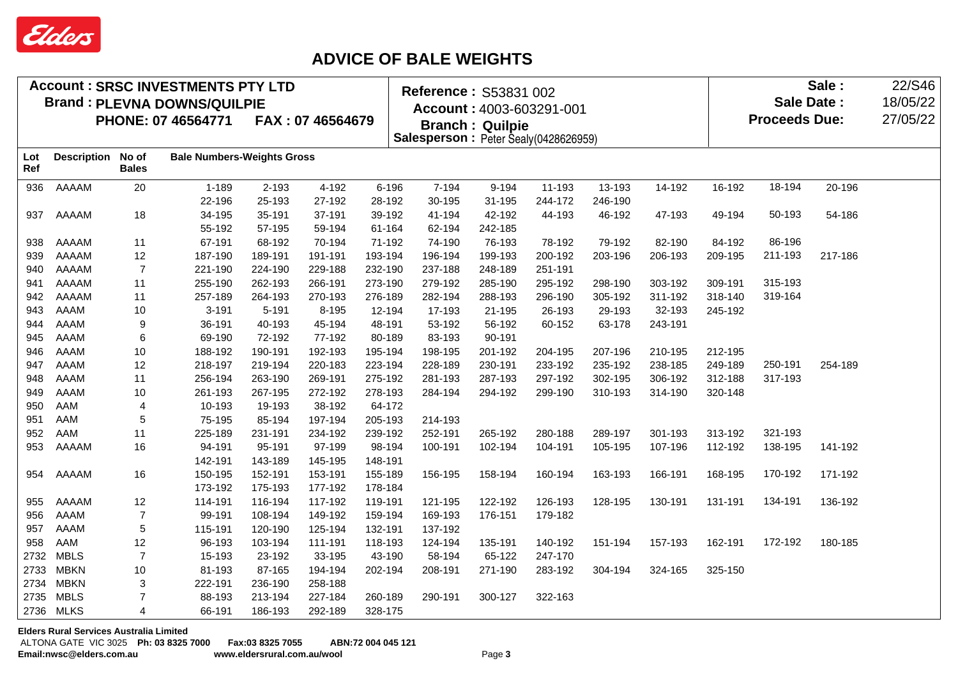

## **ADVICE OF BALE WEIGHTS**

|            |                    |                | <b>Account: SRSC INVESTMENTS PTY LTD</b> |         |                  |           | Reference: S53831 002                |                        |                          |         | Sale:<br><b>Sale Date:</b> |         |         |         |  |
|------------|--------------------|----------------|------------------------------------------|---------|------------------|-----------|--------------------------------------|------------------------|--------------------------|---------|----------------------------|---------|---------|---------|--|
|            |                    |                | <b>Brand: PLEVNA DOWNS/QUILPIE</b>       |         |                  |           |                                      |                        |                          |         |                            |         |         |         |  |
|            |                    |                | PHONE: 07 46564771                       |         | FAX: 07 46564679 |           |                                      |                        | Account: 4003-603291-001 |         | 27/05/22                   |         |         |         |  |
|            |                    |                |                                          |         |                  |           | Salesperson: Peter Sealy(0428626959) | <b>Branch: Quilpie</b> |                          |         | <b>Proceeds Due:</b>       |         |         |         |  |
|            |                    | No of          | <b>Bale Numbers-Weights Gross</b>        |         |                  |           |                                      |                        |                          |         |                            |         |         |         |  |
| Lot<br>Ref | <b>Description</b> | <b>Bales</b>   |                                          |         |                  |           |                                      |                        |                          |         |                            |         |         |         |  |
| 936        | AAAAM              | 20             | $1 - 189$                                | 2-193   | 4-192            | $6 - 196$ | 7-194                                | 9-194                  | 11-193                   | 13-193  | 14-192                     | 16-192  | 18-194  | 20-196  |  |
|            |                    |                | 22-196                                   | 25-193  | 27-192           | 28-192    | 30-195                               | 31-195                 | 244-172                  | 246-190 |                            |         |         |         |  |
| 937        | AAAAM              | 18             | 34-195                                   | 35-191  | 37-191           | 39-192    | 41-194                               | 42-192                 | 44-193                   | 46-192  | 47-193                     | 49-194  | 50-193  | 54-186  |  |
|            |                    |                | 55-192                                   | 57-195  | 59-194           | 61-164    | 62-194                               | 242-185                |                          |         |                            |         |         |         |  |
| 938        | AAAAM              | 11             | 67-191                                   | 68-192  | 70-194           | 71-192    | 74-190                               | 76-193                 | 78-192                   | 79-192  | 82-190                     | 84-192  | 86-196  |         |  |
| 939        | AAAAM              | 12             | 187-190                                  | 189-191 | 191-191          | 193-194   | 196-194                              | 199-193                | 200-192                  | 203-196 | 206-193                    | 209-195 | 211-193 | 217-186 |  |
| 940        | AAAAM              | $\overline{7}$ | 221-190                                  | 224-190 | 229-188          | 232-190   | 237-188                              | 248-189                | 251-191                  |         |                            |         |         |         |  |
| 941        | AAAAM              | 11             | 255-190                                  | 262-193 | 266-191          | 273-190   | 279-192                              | 285-190                | 295-192                  | 298-190 | 303-192                    | 309-191 | 315-193 |         |  |
| 942        | AAAAM              | 11             | 257-189                                  | 264-193 | 270-193          | 276-189   | 282-194                              | 288-193                | 296-190                  | 305-192 | 311-192                    | 318-140 | 319-164 |         |  |
| 943        | AAAM               | 10             | $3 - 191$                                | 5-191   | 8-195            | 12-194    | 17-193                               | 21-195                 | 26-193                   | 29-193  | 32-193                     | 245-192 |         |         |  |
| 944        | AAAM               | 9              | 36-191                                   | 40-193  | 45-194           | 48-191    | 53-192                               | 56-192                 | 60-152                   | 63-178  | 243-191                    |         |         |         |  |
| 945        | <b>AAAM</b>        | 6              | 69-190                                   | 72-192  | 77-192           | 80-189    | 83-193                               | 90-191                 |                          |         |                            |         |         |         |  |
| 946        | AAAM               | 10             | 188-192                                  | 190-191 | 192-193          | 195-194   | 198-195                              | 201-192                | 204-195                  | 207-196 | 210-195                    | 212-195 |         |         |  |
| 947        | AAAM               | 12             | 218-197                                  | 219-194 | 220-183          | 223-194   | 228-189                              | 230-191                | 233-192                  | 235-192 | 238-185                    | 249-189 | 250-191 | 254-189 |  |
| 948        | AAAM               | 11             | 256-194                                  | 263-190 | 269-191          | 275-192   | 281-193                              | 287-193                | 297-192                  | 302-195 | 306-192                    | 312-188 | 317-193 |         |  |
| 949        | <b>AAAM</b>        | 10             | 261-193                                  | 267-195 | 272-192          | 278-193   | 284-194                              | 294-192                | 299-190                  | 310-193 | 314-190                    | 320-148 |         |         |  |
| 950        | AAM                | 4              | 10-193                                   | 19-193  | 38-192           | 64-172    |                                      |                        |                          |         |                            |         |         |         |  |
| 951        | AAM                | 5              | 75-195                                   | 85-194  | 197-194          | 205-193   | 214-193                              |                        |                          |         |                            |         |         |         |  |
| 952        | AAM                | 11             | 225-189                                  | 231-191 | 234-192          | 239-192   | 252-191                              | 265-192                | 280-188                  | 289-197 | 301-193                    | 313-192 | 321-193 |         |  |
| 953        | AAAAM              | 16             | 94-191                                   | 95-191  | 97-199           | 98-194    | 100-191                              | 102-194                | 104-191                  | 105-195 | 107-196                    | 112-192 | 138-195 | 141-192 |  |
|            |                    |                | 142-191                                  | 143-189 | 145-195          | 148-191   |                                      |                        |                          |         |                            |         |         |         |  |
| 954        | AAAAM              | 16             | 150-195                                  | 152-191 | 153-191          | 155-189   | 156-195                              | 158-194                | 160-194                  | 163-193 | 166-191                    | 168-195 | 170-192 | 171-192 |  |
|            |                    |                | 173-192                                  | 175-193 | 177-192          | 178-184   |                                      |                        |                          |         |                            |         |         |         |  |
| 955        | AAAAM              | 12             | 114-191                                  | 116-194 | 117-192          | 119-191   | 121-195                              | 122-192                | 126-193                  | 128-195 | 130-191                    | 131-191 | 134-191 | 136-192 |  |
| 956        | AAAM               | $\overline{7}$ | 99-191                                   | 108-194 | 149-192          | 159-194   | 169-193                              | 176-151                | 179-182                  |         |                            |         |         |         |  |
| 957        | AAAM               | 5              | 115-191                                  | 120-190 | 125-194          | 132-191   | 137-192                              |                        |                          |         |                            |         |         |         |  |
| 958        | AAM                | 12             | 96-193                                   | 103-194 | 111-191          | 118-193   | 124-194                              | 135-191                | 140-192                  | 151-194 | 157-193                    | 162-191 | 172-192 | 180-185 |  |
| 2732       | <b>MBLS</b>        | $\overline{7}$ | 15-193                                   | 23-192  | 33-195           | 43-190    | 58-194                               | 65-122                 | 247-170                  |         |                            |         |         |         |  |
| 2733       | <b>MBKN</b>        | 10             | 81-193                                   | 87-165  | 194-194          | 202-194   | 208-191                              | 271-190                | 283-192                  | 304-194 | 324-165                    | 325-150 |         |         |  |
| 2734       | <b>MBKN</b>        | 3              | 222-191                                  | 236-190 | 258-188          |           |                                      |                        |                          |         |                            |         |         |         |  |
| 2735       | <b>MBLS</b>        | $\overline{7}$ | 88-193                                   | 213-194 | 227-184          | 260-189   | 290-191                              | 300-127                | 322-163                  |         |                            |         |         |         |  |
|            | 2736 MLKS          | 4              | 66-191                                   | 186-193 | 292-189          | 328-175   |                                      |                        |                          |         |                            |         |         |         |  |
|            |                    |                |                                          |         |                  |           |                                      |                        |                          |         |                            |         |         |         |  |

**Elders Rural Services Australia Limited**